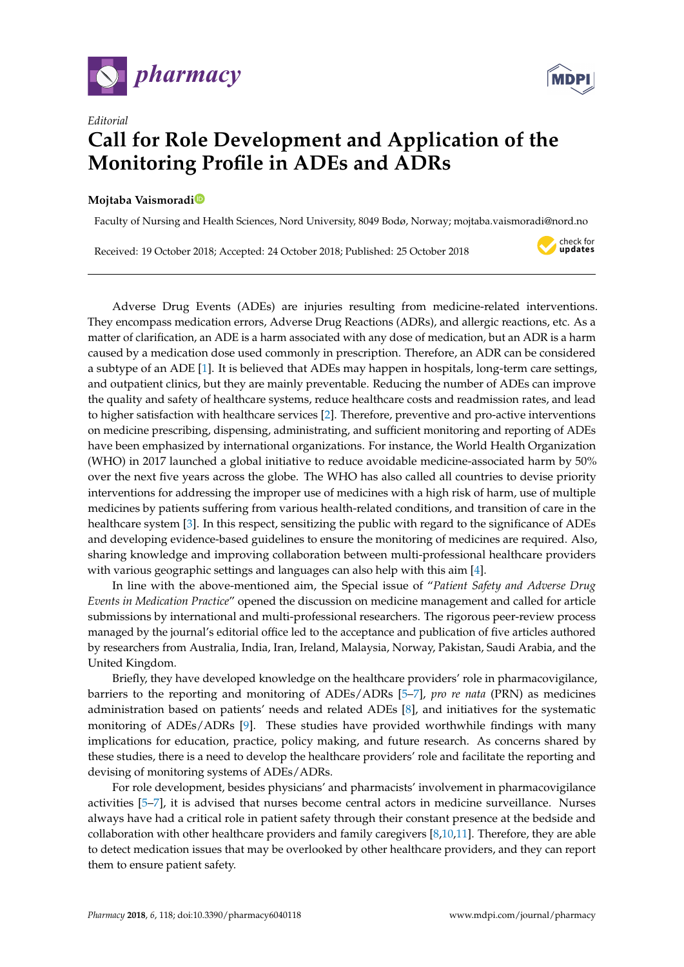



## *Editorial* **Call for Role Development and Application of the Monitoring Profile in ADEs and ADRs**

## **Mojtaba Vaismorad[i](https://orcid.org/0000-0002-5157-4886)**

Faculty of Nursing and Health Sciences, Nord University, 8049 Bodø, Norway; mojtaba.vaismoradi@nord.no

Received: 19 October 2018; Accepted: 24 October 2018; Published: 25 October 2018



Adverse Drug Events (ADEs) are injuries resulting from medicine-related interventions. They encompass medication errors, Adverse Drug Reactions (ADRs), and allergic reactions, etc. As a matter of clarification, an ADE is a harm associated with any dose of medication, but an ADR is a harm caused by a medication dose used commonly in prescription. Therefore, an ADR can be considered a subtype of an ADE [\[1\]](#page-1-0). It is believed that ADEs may happen in hospitals, long-term care settings, and outpatient clinics, but they are mainly preventable. Reducing the number of ADEs can improve the quality and safety of healthcare systems, reduce healthcare costs and readmission rates, and lead to higher satisfaction with healthcare services [\[2\]](#page-1-1). Therefore, preventive and pro-active interventions on medicine prescribing, dispensing, administrating, and sufficient monitoring and reporting of ADEs have been emphasized by international organizations. For instance, the World Health Organization (WHO) in 2017 launched a global initiative to reduce avoidable medicine-associated harm by 50% over the next five years across the globe. The WHO has also called all countries to devise priority interventions for addressing the improper use of medicines with a high risk of harm, use of multiple medicines by patients suffering from various health-related conditions, and transition of care in the healthcare system [\[3\]](#page-1-2). In this respect, sensitizing the public with regard to the significance of ADEs and developing evidence-based guidelines to ensure the monitoring of medicines are required. Also, sharing knowledge and improving collaboration between multi-professional healthcare providers with various geographic settings and languages can also help with this aim [\[4\]](#page-1-3).

In line with the above-mentioned aim, the Special issue of "*Patient Safety and Adverse Drug Events in Medication Practice*" opened the discussion on medicine management and called for article submissions by international and multi-professional researchers. The rigorous peer-review process managed by the journal's editorial office led to the acceptance and publication of five articles authored by researchers from Australia, India, Iran, Ireland, Malaysia, Norway, Pakistan, Saudi Arabia, and the United Kingdom.

Briefly, they have developed knowledge on the healthcare providers' role in pharmacovigilance, barriers to the reporting and monitoring of ADEs/ADRs [\[5–](#page-1-4)[7\]](#page-1-5), *pro re nata* (PRN) as medicines administration based on patients' needs and related ADEs [\[8\]](#page-1-6), and initiatives for the systematic monitoring of ADEs/ADRs [\[9\]](#page-1-7). These studies have provided worthwhile findings with many implications for education, practice, policy making, and future research. As concerns shared by these studies, there is a need to develop the healthcare providers' role and facilitate the reporting and devising of monitoring systems of ADEs/ADRs.

For role development, besides physicians' and pharmacists' involvement in pharmacovigilance activities [\[5–](#page-1-4)[7\]](#page-1-5), it is advised that nurses become central actors in medicine surveillance. Nurses always have had a critical role in patient safety through their constant presence at the bedside and collaboration with other healthcare providers and family caregivers [\[8](#page-1-6)[,10,](#page-1-8)[11\]](#page-1-9). Therefore, they are able to detect medication issues that may be overlooked by other healthcare providers, and they can report them to ensure patient safety.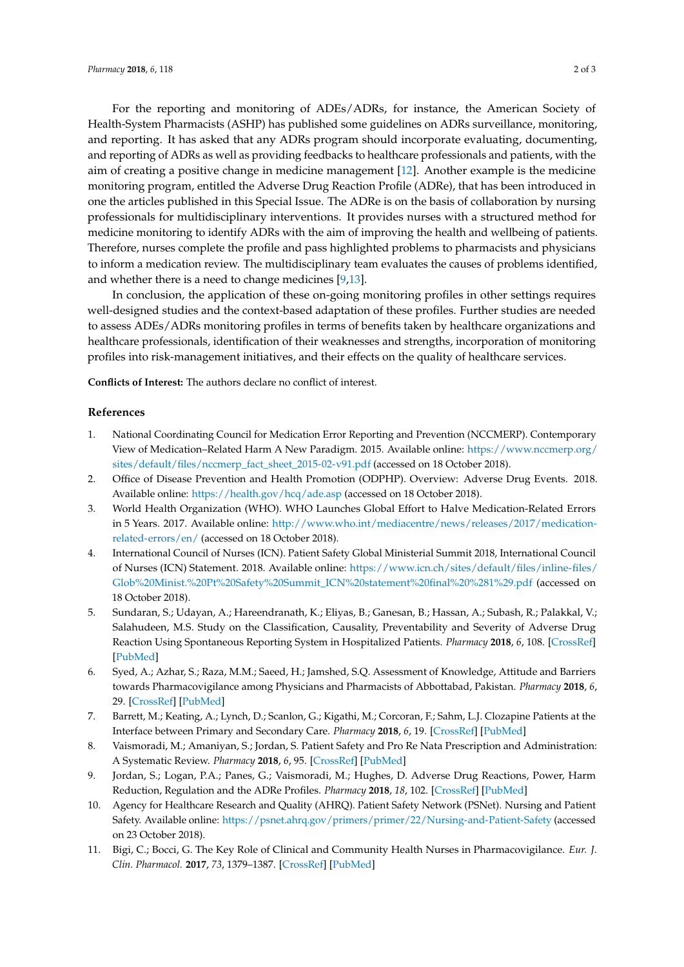For the reporting and monitoring of ADEs/ADRs, for instance, the American Society of Health-System Pharmacists (ASHP) has published some guidelines on ADRs surveillance, monitoring, and reporting. It has asked that any ADRs program should incorporate evaluating, documenting, and reporting of ADRs as well as providing feedbacks to healthcare professionals and patients, with the aim of creating a positive change in medicine management [\[12\]](#page-2-0). Another example is the medicine monitoring program, entitled the Adverse Drug Reaction Profile (ADRe), that has been introduced in one the articles published in this Special Issue. The ADRe is on the basis of collaboration by nursing professionals for multidisciplinary interventions. It provides nurses with a structured method for medicine monitoring to identify ADRs with the aim of improving the health and wellbeing of patients. Therefore, nurses complete the profile and pass highlighted problems to pharmacists and physicians to inform a medication review. The multidisciplinary team evaluates the causes of problems identified, and whether there is a need to change medicines [\[9](#page-1-7)[,13\]](#page-2-1).

In conclusion, the application of these on-going monitoring profiles in other settings requires well-designed studies and the context-based adaptation of these profiles. Further studies are needed to assess ADEs/ADRs monitoring profiles in terms of benefits taken by healthcare organizations and healthcare professionals, identification of their weaknesses and strengths, incorporation of monitoring profiles into risk-management initiatives, and their effects on the quality of healthcare services.

**Conflicts of Interest:** The authors declare no conflict of interest.

## **References**

- <span id="page-1-0"></span>1. National Coordinating Council for Medication Error Reporting and Prevention (NCCMERP). Contemporary View of Medication–Related Harm A New Paradigm. 2015. Available online: [https://www.nccmerp.org/](https://www.nccmerp.org/sites/default/files/nccmerp_fact_sheet_2015-02-v91.pdf) [sites/default/files/nccmerp\\_fact\\_sheet\\_2015-02-v91.pdf](https://www.nccmerp.org/sites/default/files/nccmerp_fact_sheet_2015-02-v91.pdf) (accessed on 18 October 2018).
- <span id="page-1-1"></span>2. Office of Disease Prevention and Health Promotion (ODPHP). Overview: Adverse Drug Events. 2018. Available online: <https://health.gov/hcq/ade.asp> (accessed on 18 October 2018).
- <span id="page-1-2"></span>3. World Health Organization (WHO). WHO Launches Global Effort to Halve Medication-Related Errors in 5 Years. 2017. Available online: [http://www.who.int/mediacentre/news/releases/2017/medication](http://www.who.int/mediacentre/news/releases/2017/medication-related-errors/en/)[related-errors/en/](http://www.who.int/mediacentre/news/releases/2017/medication-related-errors/en/) (accessed on 18 October 2018).
- <span id="page-1-3"></span>4. International Council of Nurses (ICN). Patient Safety Global Ministerial Summit 2018, International Council of Nurses (ICN) Statement. 2018. Available online: [https://www.icn.ch/sites/default/files/inline-files/](https://www.icn.ch/sites/default/files/inline-files/Glob%20Minist.%20Pt%20Safety%20Summit_ICN%20statement%20final%20%281%29.pdf) [Glob%20Minist.%20Pt%20Safety%20Summit\\_ICN%20statement%20final%20%281%29.pdf](https://www.icn.ch/sites/default/files/inline-files/Glob%20Minist.%20Pt%20Safety%20Summit_ICN%20statement%20final%20%281%29.pdf) (accessed on 18 October 2018).
- <span id="page-1-4"></span>5. Sundaran, S.; Udayan, A.; Hareendranath, K.; Eliyas, B.; Ganesan, B.; Hassan, A.; Subash, R.; Palakkal, V.; Salahudeen, M.S. Study on the Classification, Causality, Preventability and Severity of Adverse Drug Reaction Using Spontaneous Reporting System in Hospitalized Patients. *Pharmacy* **2018**, *6*, 108. [\[CrossRef\]](http://dx.doi.org/10.3390/pharmacy6040108) [\[PubMed\]](http://www.ncbi.nlm.nih.gov/pubmed/30274320)
- 6. Syed, A.; Azhar, S.; Raza, M.M.; Saeed, H.; Jamshed, S.Q. Assessment of Knowledge, Attitude and Barriers towards Pharmacovigilance among Physicians and Pharmacists of Abbottabad, Pakistan. *Pharmacy* **2018**, *6*, 29. [\[CrossRef\]](http://dx.doi.org/10.3390/pharmacy6020029) [\[PubMed\]](http://www.ncbi.nlm.nih.gov/pubmed/29614725)
- <span id="page-1-5"></span>7. Barrett, M.; Keating, A.; Lynch, D.; Scanlon, G.; Kigathi, M.; Corcoran, F.; Sahm, L.J. Clozapine Patients at the Interface between Primary and Secondary Care. *Pharmacy* **2018**, *6*, 19. [\[CrossRef\]](http://dx.doi.org/10.3390/pharmacy6010019) [\[PubMed\]](http://www.ncbi.nlm.nih.gov/pubmed/29495370)
- <span id="page-1-6"></span>8. Vaismoradi, M.; Amaniyan, S.; Jordan, S. Patient Safety and Pro Re Nata Prescription and Administration: A Systematic Review. *Pharmacy* **2018**, *6*, 95. [\[CrossRef\]](http://dx.doi.org/10.3390/pharmacy6030095) [\[PubMed\]](http://www.ncbi.nlm.nih.gov/pubmed/30158511)
- <span id="page-1-7"></span>9. Jordan, S.; Logan, P.A.; Panes, G.; Vaismoradi, M.; Hughes, D. Adverse Drug Reactions, Power, Harm Reduction, Regulation and the ADRe Profiles. *Pharmacy* **2018**, *18*, 102. [\[CrossRef\]](http://dx.doi.org/10.3390/pharmacy6030102) [\[PubMed\]](http://www.ncbi.nlm.nih.gov/pubmed/30231573)
- <span id="page-1-8"></span>10. Agency for Healthcare Research and Quality (AHRQ). Patient Safety Network (PSNet). Nursing and Patient Safety. Available online: <https://psnet.ahrq.gov/primers/primer/22/Nursing-and-Patient-Safety> (accessed on 23 October 2018).
- <span id="page-1-9"></span>11. Bigi, C.; Bocci, G. The Key Role of Clinical and Community Health Nurses in Pharmacovigilance. *Eur. J. Clin. Pharmacol.* **2017**, *73*, 1379–1387. [\[CrossRef\]](http://dx.doi.org/10.1007/s00228-017-2309-0) [\[PubMed\]](http://www.ncbi.nlm.nih.gov/pubmed/28770283)